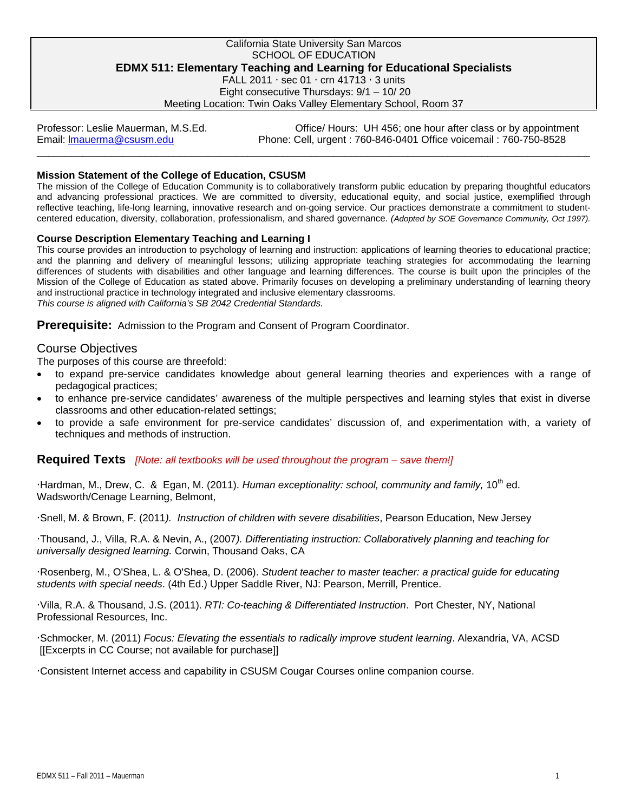### California State University San Marcos SCHOOL OF EDUCATION **EDMX 511: Elementary Teaching and Learning for Educational Specialists**  FALL 2011  $\cdot$  sec 01  $\cdot$  crn 41713  $\cdot$  3 units

Eight consecutive Thursdays: 9/1 – 10/ 20

Meeting Location: Twin Oaks Valley Elementary School, Room 37

Email: Imauerma@csusm.edu \_\_\_\_\_\_\_\_\_\_\_\_\_\_\_\_\_\_\_\_\_\_\_\_\_\_\_\_\_\_\_\_\_\_\_\_\_\_\_\_\_\_\_\_\_\_\_\_\_\_\_\_\_\_\_\_\_\_\_\_\_\_\_\_\_\_\_\_\_\_\_\_\_\_\_\_\_\_\_\_\_\_\_\_\_\_\_\_\_\_\_\_\_\_\_\_\_ Professor: Leslie Mauerman, M.S.Ed. Office/ Hours: UH 456; one hour after class or by appointment Phone: Cell, urgent : 760-846-0401 Office voicemail : 760-750-8528

## **Mission Statement of the College of Education, CSUSM**

The mission of the College of Education Community is to collaboratively transform public education by preparing thoughtful educators and advancing professional practices. We are committed to diversity, educational equity, and social justice, exemplified through reflective teaching, life-long learning, innovative research and on-going service. Our practices demonstrate a commitment to studentcentered education, diversity, collaboration, professionalism, and shared governance. *(Adopted by SOE Governance Community, Oct 1997).* 

### **Course Description Elementary Teaching and Learning I**

This course provides an introduction to psychology of learning and instruction: applications of learning theories to educational practice; and the planning and delivery of meaningful lessons; utilizing appropriate teaching strategies for accommodating the learning differences of students with disabilities and other language and learning differences. The course is built upon the principles of the Mission of the College of Education as stated above. Primarily focuses on developing a preliminary understanding of learning theory and instructional practice in technology integrated and inclusive elementary classrooms. *This course is aligned with California's SB 2042 Credential Standards.* 

Prerequisite: Admission to the Program and Consent of Program Coordinator.

# Course Objectives

The purposes of this course are threefold:

- to expand pre-service candidates knowledge about general learning theories and experiences with a range of pedagogical practices;
- to enhance pre-service candidates' awareness of the multiple perspectives and learning styles that exist in diverse classrooms and other education-related settings;
- to provide a safe environment for pre-service candidates' discussion of, and experimentation with, a variety of techniques and methods of instruction.

## **Required Texts** *[Note: all textbooks will be used throughout the program – save them!]*

Hardman, M., Drew, C. & Egan, M. (2011). *Human exceptionality: school, community and family*, 10<sup>th</sup> ed. Wadsworth/Cenage Learning, Belmont,

Snell, M. & Brown, F. (2011*). Instruction of children with severe disabilities*, Pearson Education, New Jersey

Thousand, J., Villa, R.A. & Nevin, A., (2007*). Differentiating instruction: Collaboratively planning and teaching for universally designed learning.* Corwin, Thousand Oaks, CA

Rosenberg, M., O'Shea, L. & O'Shea, D. (2006). *Student teacher to master teacher: a practical guide for educating students with special needs*. (4th Ed.) Upper Saddle River, NJ: Pearson, Merrill, Prentice.

 Professional Resources, Inc. Villa, R.A. & Thousand, J.S. (2011). *RTI: Co-teaching & Differentiated Instruction*. Port Chester, NY, National

Schmocker, M. (2011) *Focus: Elevating the essentials to radically improve student learning*. Alexandria, VA, ACSD [[Excerpts in CC Course; not available for purchase]]

Consistent Internet access and capability in CSUSM Cougar Courses online companion course.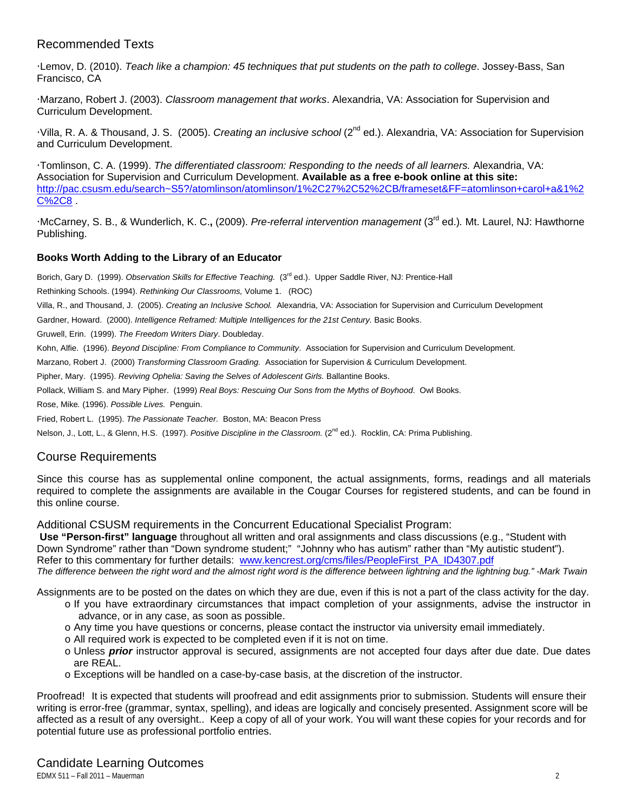# Recommended Texts

Lemov, D. (2010). *Teach like a champion: 45 techniques that put students on the path to college*. Jossey-Bass, San Francisco, CA

Marzano, Robert J. (2003). *Classroom management that works*. Alexandria, VA: Association for Supervision and Curriculum Development.

Villa, R. A. & Thousand, J. S. (2005). *Creating an inclusive school* (2nd ed.). Alexandria, VA: Association for Supervision and Curriculum Development.

Tomlinson, C. A. (1999). *The differentiated classroom: Responding to the needs of all learners.* Alexandria, VA: Association for Supervision and Curriculum Development. **Available as a free e-book online at this site:**  http://pac.csusm.edu/search~S5?/atomlinson/atomlinson/1%2C27%2C52%2CB/frameset&FF=atomlinson+carol+a&1%2 C%2C8 .

McCarney, S. B., & Wunderlich, K. C.**,** (2009). *Pre-referral intervention management* (3rd ed.)*.* Mt. Laurel, NJ: Hawthorne Publishing.

# **Books Worth Adding to the Library of an Educator**

Borich, Gary D. (1999). Observation Skills for Effective Teaching. (3<sup>rd</sup> ed.). Upper Saddle River, NJ: Prentice-Hall

Rethinking Schools. (1994). *Rethinking Our Classrooms,* Volume 1. (ROC)

Villa, R., and Thousand, J. (2005). *Creating an Inclusive School.* Alexandria, VA: Association for Supervision and Curriculum Development

Gardner, Howard. (2000). *Intelligence Reframed: Multiple Intelligences for the 21st Century.* Basic Books.

Gruwell, Erin. (1999). *The Freedom Writers Diary*. Doubleday.

Kohn, Alfie. (1996). *Beyond Discipline: From Compliance to Community*. Association for Supervision and Curriculum Development.

Marzano, Robert J. (2000) *Transforming Classroom Grading.* Association for Supervision & Curriculum Development.

Pipher, Mary. (1995). *Reviving Ophelia: Saving the Selves of Adolescent Girls.* Ballantine Books.

Pollack, William S. and Mary Pipher. (1999) *Real Boys: Rescuing Our Sons from the Myths of Boyhood*. Owl Books.

Rose, Mike*.* (1996). *Possible Lives.* Penguin.

Fried, Robert L. (1995). *The Passionate Teacher*. Boston, MA: Beacon Press

Nelson, J., Lott, L., & Glenn, H.S. (1997). *Positive Discipline in the Classroom.* (2<sup>nd</sup> ed.). Rocklin, CA: Prima Publishing.

# Course Requirements

Since this course has as supplemental online component, the actual assignments, forms, readings and all materials required to complete the assignments are available in the Cougar Courses for registered students, and can be found in this online course.

Additional CSUSM requirements in the Concurrent Educational Specialist Program:

Refer to this commentary for further details: www.kencrest.org/cms/files/PeopleFirst\_PA\_ID4307.pdf  **Use "Person-first" language** throughout all written and oral assignments and class discussions (e.g., "Student with Down Syndrome" rather than "Down syndrome student;" "Johnny who has autism" rather than "My autistic student"). *The difference between the right word and the almost right word is the difference between lightning and the lightning bug." -Mark Twain* 

Assignments are to be posted on the dates on which they are due, even if this is not a part of the class activity for the day.

- o If you have extraordinary circumstances that impact completion of your assignments, advise the instructor in advance, or in any case, as soon as possible.
- o Any time you have questions or concerns, please contact the instructor via university email immediately.
- o All required work is expected to be completed even if it is not on time.
- o Unless *prior* instructor approval is secured, assignments are not accepted four days after due date. Due dates are REAL.
- o Exceptions will be handled on a case-by-case basis, at the discretion of the instructor.

Proofread! It is expected that students will proofread and edit assignments prior to submission. Students will ensure their writing is error-free (grammar, syntax, spelling), and ideas are logically and concisely presented. Assignment score will be affected as a result of any oversight.. Keep a copy of all of your work. You will want these copies for your records and for potential future use as professional portfolio entries.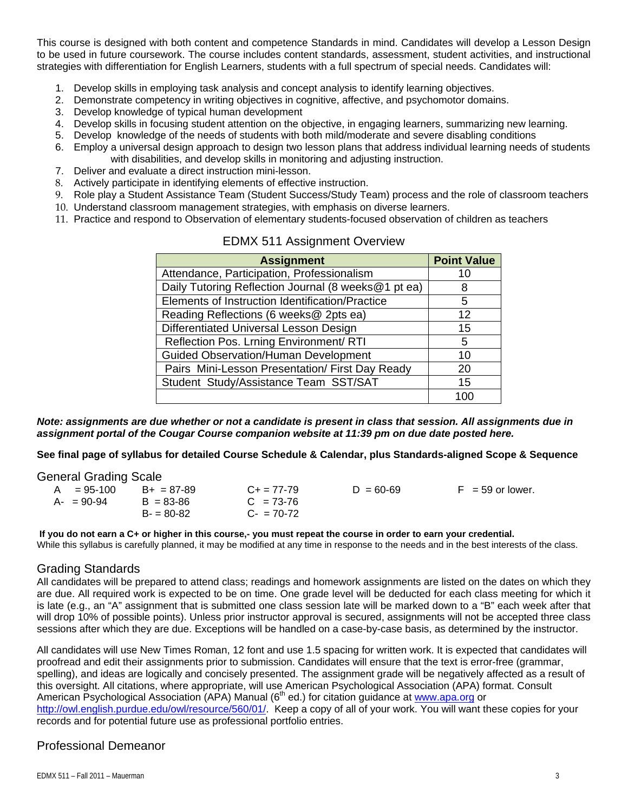This course is designed with both content and competence Standards in mind. Candidates will develop a Lesson Design to be used in future coursework. The course includes content standards, assessment, student activities, and instructional strategies with differentiation for English Learners, students with a full spectrum of special needs. Candidates will:

- 1. Develop skills in employing task analysis and concept analysis to identify learning objectives.
- 2. Demonstrate competency in writing objectives in cognitive, affective, and psychomotor domains.
- 3. Develop knowledge of typical human development
- 4. Develop skills in focusing student attention on the objective, in engaging learners, summarizing new learning.
- 5. Develop knowledge of the needs of students with both mild/moderate and severe disabling conditions
- 6. Employ a universal design approach to design two lesson plans that address individual learning needs of students with disabilities, and develop skills in monitoring and adjusting instruction.
- 7. Deliver and evaluate a direct instruction mini-lesson.
- 8. Actively participate in identifying elements of effective instruction.
- 9. Role play a Student Assistance Team (Student Success/Study Team) process and the role of classroom teachers
- 10. Understand classroom management strategies, with emphasis on diverse learners.
- 11. Practice and respond to Observation of elementary students-focused observation of children as teachers

| <b>Assignment</b>                                   | <b>Point Value</b> |
|-----------------------------------------------------|--------------------|
| Attendance, Participation, Professionalism          | 10                 |
| Daily Tutoring Reflection Journal (8 weeks@1 pt ea) | 8                  |
| Elements of Instruction Identification/Practice     | 5                  |
| Reading Reflections (6 weeks@ 2pts ea)              | 12                 |
| Differentiated Universal Lesson Design              | 15                 |
| Reflection Pos. Lrning Environment/ RTI             | 5                  |
| <b>Guided Observation/Human Development</b>         | 10                 |
| Pairs Mini-Lesson Presentation/ First Day Ready     | 20                 |
| Student Study/Assistance Team SST/SAT               | 15                 |
|                                                     | 1 በበ               |

## EDMX 511 Assignment Overview

*Note: assignments are due whether or not a candidate is present in class that session. All assignments due in assignment portal of the Cougar Course companion website at 11:39 pm on due date posted here.* 

**See final page of syllabus for detailed Course Schedule & Calendar, plus Standards-aligned Scope & Sequence** 

General Grading Scale

| $A = 95-100$ | $B+ = 87-89$  | $C_{\pm} = 77 - 79$ | $D = 60 - 69$ | $F = 59$ or lower. |
|--------------|---------------|---------------------|---------------|--------------------|
| A- = 90-94   | $B = 83 - 86$ | $C = 73-76$         |               |                    |
|              | $B = 80-82$   | $C - 70-72$         |               |                    |

 **If you do not earn a C+ or higher in this course,- you must repeat the course in order to earn your credential.**  While this syllabus is carefully planned, it may be modified at any time in response to the needs and in the best interests of the class.

## Grading Standards

All candidates will be prepared to attend class; readings and homework assignments are listed on the dates on which they are due. All required work is expected to be on time. One grade level will be deducted for each class meeting for which it is late (e.g., an "A" assignment that is submitted one class session late will be marked down to a "B" each week after that will drop 10% of possible points). Unless prior instructor approval is secured, assignments will not be accepted three class sessions after which they are due. Exceptions will be handled on a case-by-case basis, as determined by the instructor.

All candidates will use New Times Roman, 12 font and use 1.5 spacing for written work. It is expected that candidates will proofread and edit their assignments prior to submission. Candidates will ensure that the text is error-free (grammar, spelling), and ideas are logically and concisely presented. The assignment grade will be negatively affected as a result of this oversight. All citations, where appropriate, will use American Psychological Association (APA) format. Consult American Psychological Association (APA) Manual (6<sup>th</sup> ed.) for citation guidance at www.apa.org or http://owl.english.purdue.edu/owl/resource/560/01/. Keep a copy of all of your work. You will want these copies for your records and for potential future use as professional portfolio entries.

# Professional Demeanor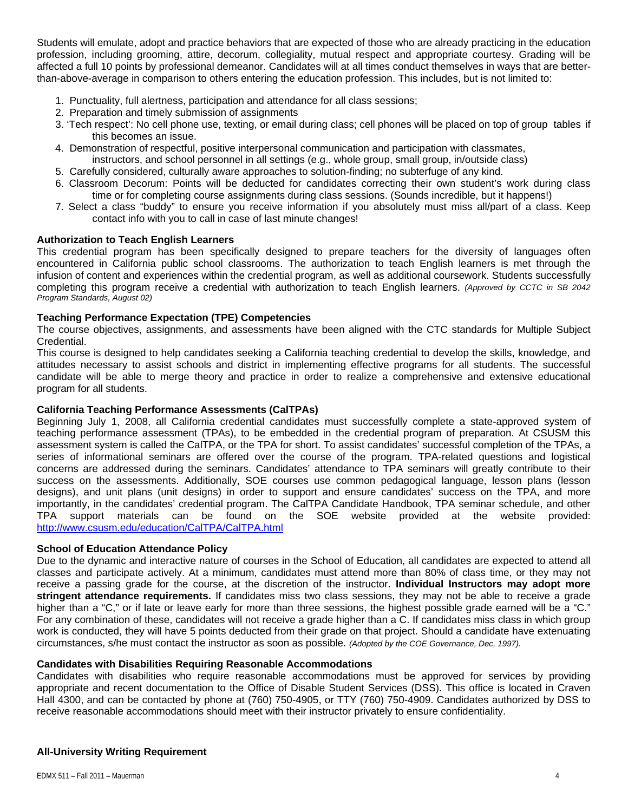Students will emulate, adopt and practice behaviors that are expected of those who are already practicing in the education profession, including grooming, attire, decorum, collegiality, mutual respect and appropriate courtesy. Grading will be affected a full 10 points by professional demeanor. Candidates will at all times conduct themselves in ways that are betterthan-above-average in comparison to others entering the education profession. This includes, but is not limited to:

- 1. Punctuality, full alertness, participation and attendance for all class sessions;
- 2. Preparation and timely submission of assignments
- 3. 'Tech respect': No cell phone use, texting, or email during class; cell phones will be placed on top of group tables if this becomes an issue.
- 4. Demonstration of respectful, positive interpersonal communication and participation with classmates,
- instructors, and school personnel in all settings (e.g., whole group, small group, in/outside class)
- 5. Carefully considered, culturally aware approaches to solution-finding; no subterfuge of any kind.
- 6. Classroom Decorum: Points will be deducted for candidates correcting their own student's work during class time or for completing course assignments during class sessions. (Sounds incredible, but it happens!)
- 7. Select a class "buddy" to ensure you receive information if you absolutely must miss all/part of a class. Keep contact info with you to call in case of last minute changes!

### **Authorization to Teach English Learners**

This credential program has been specifically designed to prepare teachers for the diversity of languages often encountered in California public school classrooms. The authorization to teach English learners is met through the infusion of content and experiences within the credential program, as well as additional coursework. Students successfully completing this program receive a credential with authorization to teach English learners. *(Approved by CCTC in SB 2042 Program Standards, August 02)* 

### **Teaching Performance Expectation (TPE) Competencies**

The course objectives, assignments, and assessments have been aligned with the CTC standards for Multiple Subject Credential.

This course is designed to help candidates seeking a California teaching credential to develop the skills, knowledge, and attitudes necessary to assist schools and district in implementing effective programs for all students. The successful candidate will be able to merge theory and practice in order to realize a comprehensive and extensive educational program for all students.

#### **California Teaching Performance Assessments (CalTPAs)**

 Beginning July 1, 2008, all California credential candidates must successfully complete a state-approved system of http://www.csusm.edu/education/CalTPA/CalTPA.html teaching performance assessment (TPAs), to be embedded in the credential program of preparation. At CSUSM this assessment system is called the CalTPA, or the TPA for short. To assist candidates' successful completion of the TPAs, a series of informational seminars are offered over the course of the program. TPA-related questions and logistical concerns are addressed during the seminars. Candidates' attendance to TPA seminars will greatly contribute to their success on the assessments. Additionally, SOE courses use common pedagogical language, lesson plans (lesson designs), and unit plans (unit designs) in order to support and ensure candidates' success on the TPA, and more importantly, in the candidates' credential program. The CalTPA Candidate Handbook, TPA seminar schedule, and other TPA support materials can be found on the SOE website provided at the website provided:

#### **School of Education Attendance Policy**

 circumstances, s/he must contact the instructor as soon as possible. *(Adopted by the COE Governance, Dec, 1997).* Due to the dynamic and interactive nature of courses in the School of Education, all candidates are expected to attend all classes and participate actively. At a minimum, candidates must attend more than 80% of class time, or they may not receive a passing grade for the course, at the discretion of the instructor. **Individual Instructors may adopt more stringent attendance requirements.** If candidates miss two class sessions, they may not be able to receive a grade higher than a "C," or if late or leave early for more than three sessions, the highest possible grade earned will be a "C." For any combination of these, candidates will not receive a grade higher than a C. If candidates miss class in which group work is conducted, they will have 5 points deducted from their grade on that project. Should a candidate have extenuating

#### **Candidates with Disabilities Requiring Reasonable Accommodations**

Candidates with disabilities who require reasonable accommodations must be approved for services by providing appropriate and recent documentation to the Office of Disable Student Services (DSS). This office is located in Craven Hall 4300, and can be contacted by phone at (760) 750-4905, or TTY (760) 750-4909. Candidates authorized by DSS to receive reasonable accommodations should meet with their instructor privately to ensure confidentiality.